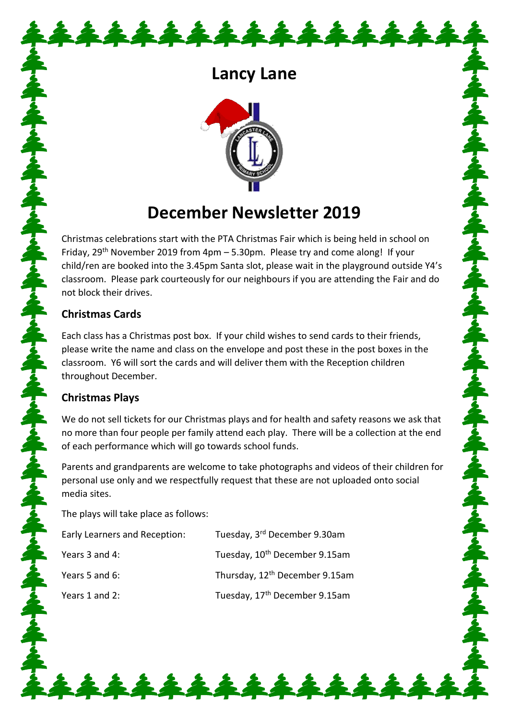## **Lancy Lane**

\*\*\*\*\*\*\*\*\*\*



# **December Newsletter 2019**

Christmas celebrations start with the PTA Christmas Fair which is being held in school on Friday,  $29^{th}$  November 2019 from 4pm – 5.30pm. Please try and come along! If your child/ren are booked into the 3.45pm Santa slot, please wait in the playground outside Y4's classroom. Please park courteously for our neighbours if you are attending the Fair and do not block their drives.

#### **Christmas Cards**

全ても今でも今でも今でも今でも今でも今でも今でも今で

Each class has a Christmas post box. If your child wishes to send cards to their friends, please write the name and class on the envelope and post these in the post boxes in the classroom. Y6 will sort the cards and will deliver them with the Reception children throughout December.

## **Christmas Plays**

We do not sell tickets for our Christmas plays and for health and safety reasons we ask that no more than four people per family attend each play. There will be a collection at the end of each performance which will go towards school funds.

Parents and grandparents are welcome to take photographs and videos of their children for personal use only and we respectfully request that these are not uploaded onto social media sites.

The plays will take place as follows:

| <b>Early Learners and Reception:</b> | Tuesday, 3rd December 9.30am               |
|--------------------------------------|--------------------------------------------|
| Years 3 and 4:                       | Tuesday, 10 <sup>th</sup> December 9.15am  |
| Years 5 and 6:                       | Thursday, 12 <sup>th</sup> December 9.15am |
| Years 1 and 2:                       | Tuesday, 17 <sup>th</sup> December 9.15am  |

122222222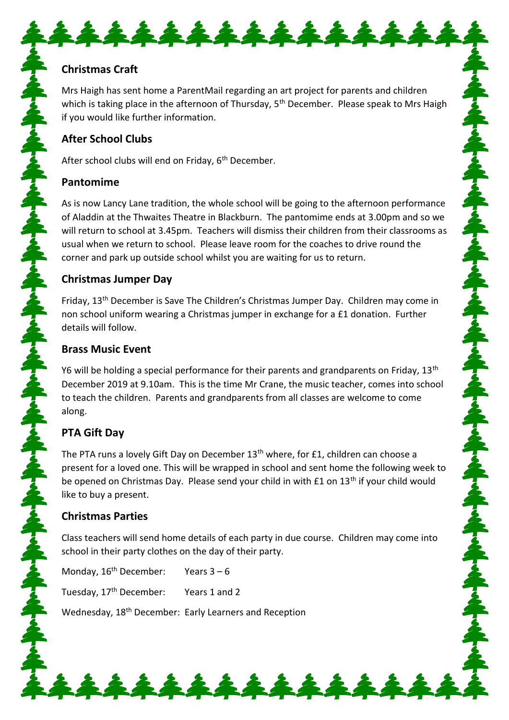## **Christmas Craft**

Mrs Haigh has sent home a ParentMail regarding an art project for parents and children which is taking place in the afternoon of Thursday, 5<sup>th</sup> December. Please speak to Mrs Haigh if you would like further information.

\*\*\*\*\*\*\*\*\*\*\*\*\*\*

## **After School Clubs**

After school clubs will end on Friday, 6<sup>th</sup> December.

## **Pantomime**

As is now Lancy Lane tradition, the whole school will be going to the afternoon performance of Aladdin at the Thwaites Theatre in Blackburn. The pantomime ends at 3.00pm and so we will return to school at 3.45pm. Teachers will dismiss their children from their classrooms as usual when we return to school. Please leave room for the coaches to drive round the corner and park up outside school whilst you are waiting for us to return.

## **Christmas Jumper Day**

Friday, 13<sup>th</sup> December is Save The Children's Christmas Jumper Day. Children may come in non school uniform wearing a Christmas jumper in exchange for a £1 donation. Further details will follow.

## **Brass Music Event**

Y6 will be holding a special performance for their parents and grandparents on Friday,  $13<sup>th</sup>$ December 2019 at 9.10am. This is the time Mr Crane, the music teacher, comes into school to teach the children. Parents and grandparents from all classes are welcome to come along.

## **PTA Gift Day**

The PTA runs a lovely Gift Day on December 13<sup>th</sup> where, for £1, children can choose a present for a loved one. This will be wrapped in school and sent home the following week to be opened on Christmas Day. Please send your child in with £1 on 13<sup>th</sup> if your child would like to buy a present.

## **Christmas Parties**

Class teachers will send home details of each party in due course. Children may come into school in their party clothes on the day of their party.

\*\*\*\*\*\*\*\*\*\*\*

| Monday, $16^{th}$ December: Years $3-6$           |                                                                    |
|---------------------------------------------------|--------------------------------------------------------------------|
| Tuesday, 17 <sup>th</sup> December: Years 1 and 2 |                                                                    |
|                                                   | Wednesday, 18 <sup>th</sup> December: Early Learners and Reception |